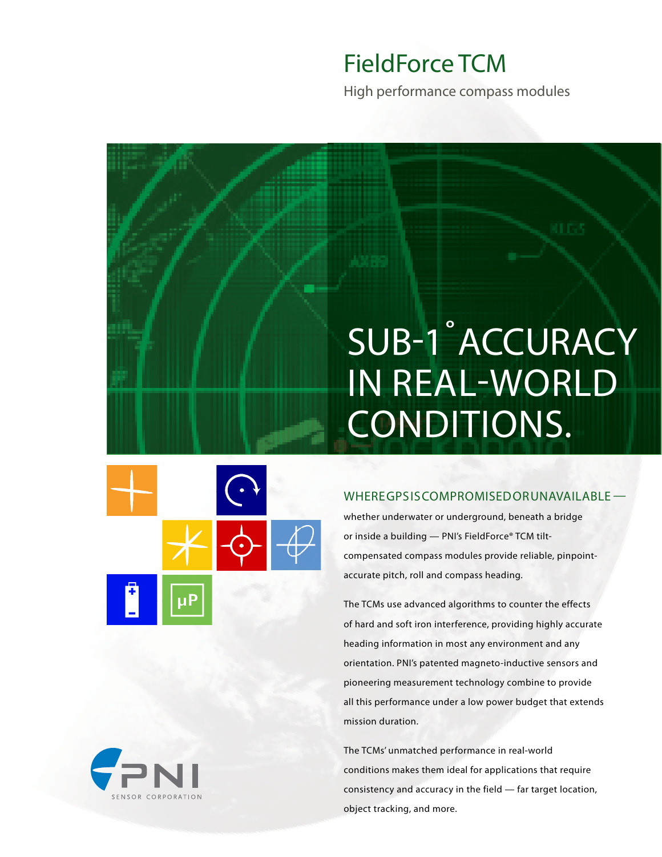## FieldForce TCM

High performance compass modules

# SUB-1˚ ACCURACY IN REAL-WORLD CONDITIONS.



### WHERE GPS IS COMPROMISED OR UNAVAILABLE —

whether underwater or underground, beneath a bridge or inside a building — PNI's FieldForce® TCM tiltcompensated compass modules provide reliable, pinpointaccurate pitch, roll and compass heading.

The TCMs use advanced algorithms to counter the effects of hard and soft iron interference, providing highly accurate heading information in most any environment and any orientation. PNI's patented magneto-inductive sensors and pioneering measurement technology combine to provide all this performance under a low power budget that extends mission duration.

The TCMs' unmatched performance in real-world conditions makes them ideal for applications that require consistency and accuracy in the field — far target location, object tracking, and more.